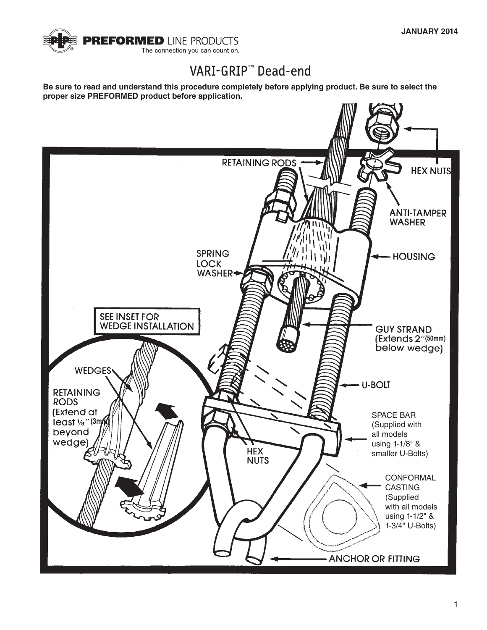

# VARI-GRIP™ Dead-end

**Be sure to read and understand this procedure completely before applying product. Be sure to select the proper size PREFORMED product before application.**

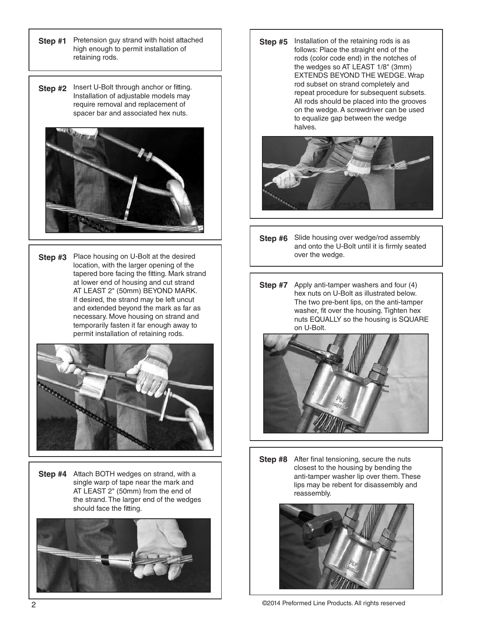- **Step #1** Pretension guy strand with hoist attached high enough to permit installation of retaining rods.
- **Step #2** Insert U-Bolt through anchor or fitting. Installation of adjustable models may require removal and replacement of spacer bar and associated hex nuts.



**Step #3** Place housing on U-Bolt at the desired location, with the larger opening of the tapered bore facing the fitting. Mark strand at lower end of housing and cut strand AT LEAST 2" (50mm) BEYOND MARK. If desired, the strand may be left uncut and extended beyond the mark as far as necessary. Move housing on strand and temporarily fasten it far enough away to permit installation of retaining rods.



**Step #4** Attach BOTH wedges on strand, with a single warp of tape near the mark and AT LEAST 2" (50mm) from the end of the strand. The larger end of the wedges should face the fitting.



**Step #5** Installation of the retaining rods is as follows: Place the straight end of the rods (color code end) in the notches of the wedges so AT LEAST 1/8" (3mm) EXTENDS BEYOND THE WEDGE. Wrap rod subset on strand completely and repeat procedure for subsequent subsets. All rods should be placed into the grooves on the wedge. A screwdriver can be used to equalize gap between the wedge halves.



- **Step #6** Slide housing over wedge/rod assembly and onto the U-Bolt until it is firmly seated over the wedge.
- **Step #7** Apply anti-tamper washers and four (4) hex nuts on U-Bolt as illustrated below. The two pre-bent lips, on the anti-tamper washer, fit over the housing. Tighten hex nuts EQUALLY so the housing is SQUARE on U-Bolt.



**Step #8** After final tensioning, secure the nuts closest to the housing by bending the anti-tamper washer lip over them. These lips may be rebent for disassembly and reassembly.

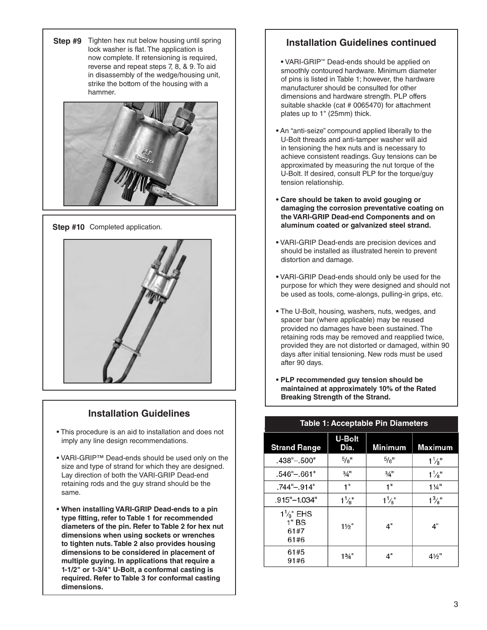**Step #9** Tighten hex nut below housing until spring lock washer is flat. The application is now complete. If retensioning is required, reverse and repeat steps 7, 8, & 9. To aid in disassembly of the wedge/housing unit, strike the bottom of the housing with a hammer.





## **Installation Guidelines**

- **•** This procedure is an aid to installation and does not imply any line design recommendations.
- **•** VARI-GRIP™ Dead-ends should be used only on the size and type of strand for which they are designed. Lay direction of both the VARI-GRIP Dead-end retaining rods and the guy strand should be the same.
- **• When installing VARI-GRIP Dead-ends to a pin type fitting, refer to Table 1 for recommended diameters of the pin. Refer to Table 2 for hex nut dimensions when using sockets or wrenches to tighten nuts. Table 2 also provides housing dimensions to be considered in placement of multiple guying. In applications that require a 1-1/2" or 1-3/4" U-Bolt, a conformal casting is required. Refer to Table 3 for conformal casting dimensions.**

## **Installation Guidelines continued**

- **•** VARI-GRIP™ Dead-ends should be applied on smoothly contoured hardware. Minimum diameter of pins is listed in Table 1; however, the hardware manufacturer should be consulted for other dimensions and hardware strength. PLP offers suitable shackle (cat # 0065470) for attachment plates up to 1" (25mm) thick.
- **•** An "anti-seize" compound applied liberally to the U-Bolt threads and anti-tamper washer will aid in tensioning the hex nuts and is necessary to achieve consistent readings. Guy tensions can be approximated by measuring the nut torque of the U-Bolt. If desired, consult PLP for the torque/guy tension relationship.
- **• Care should be taken to avoid gouging or damaging the corrosion preventative coating on the VARI-GRIP Dead-end Components and on aluminum coated or galvanized steel strand.**
- **•** VARI-GRIP Dead-ends are precision devices and should be installed as illustrated herein to prevent distortion and damage.
- **•** VARI-GRIP Dead-ends should only be used for the purpose for which they were designed and should not be used as tools, come-alongs, pulling-in grips, etc.
- The U-Bolt, housing, washers, nuts, wedges, and spacer bar (where applicable) may be reused provided no damages have been sustained. The retaining rods may be removed and reapplied twice, provided they are not distorted or damaged, within 90 days after initial tensioning. New rods must be used after 90 days.
- **• PLP recommended guy tension should be maintained at approximately 10% of the Rated Breaking Strength of the Strand.**

| <b>Strand Range</b>                             | <b>U-Bolt</b><br>Dia. | <b>Minimum</b>   | Maximum          |  |  |  |  |
|-------------------------------------------------|-----------------------|------------------|------------------|--|--|--|--|
| .438"-.500"                                     | $^{5}/\mathrm{g}$ "   | $^{5}/8"$        | $1\frac{1}{8}$ " |  |  |  |  |
| $.546 - .661$                                   | $\frac{3}{4}$ "       | $\frac{3}{4}$ "  | $1\frac{1}{8}$ " |  |  |  |  |
| .744"-.914"                                     | 1"                    | 1"               | $1\frac{1}{4}$   |  |  |  |  |
| $.915^{\circ} - 1.034^{\circ}$                  | $1\frac{1}{8}$ "      | $1\frac{1}{8}$ " | $1\frac{3}{8}$ " |  |  |  |  |
| $1\frac{1}{8}$ " EHS<br>$1"$ BS<br>61#7<br>61#6 | $1\frac{1}{2}$ "      | 4"               | 4"               |  |  |  |  |
| 61#5<br>91#6                                    | $1\frac{3}{4}$ "      | 4"               | $4\frac{1}{2}$ " |  |  |  |  |

#### **Table 1: Acceptable Pin Diameters**